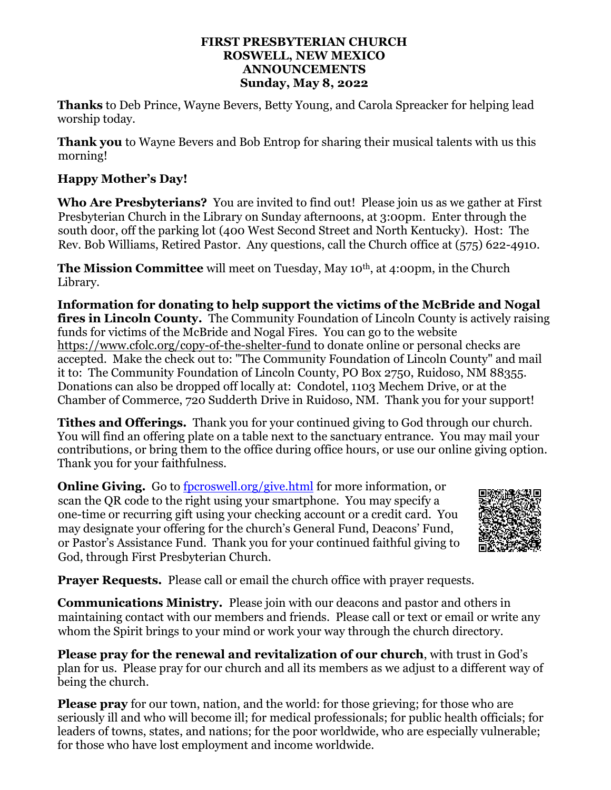#### **FIRST PRESBYTERIAN CHURCH ROSWELL, NEW MEXICO ANNOUNCEMENTS Sunday, May 8, 2022**

**Thanks** to Deb Prince, Wayne Bevers, Betty Young, and Carola Spreacker for helping lead worship today.

**Thank you** to Wayne Bevers and Bob Entrop for sharing their musical talents with us this morning!

## **Happy Mother's Day!**

**Who Are Presbyterians?** You are invited to find out! Please join us as we gather at First Presbyterian Church in the Library on Sunday afternoons, at 3:00pm. Enter through the south door, off the parking lot (400 West Second Street and North Kentucky). Host: The Rev. Bob Williams, Retired Pastor. Any questions, call the Church office at (575) 622-4910.

**The Mission Committee** will meet on Tuesday, May 10th, at 4:00pm, in the Church Library.

**Information for donating to help support the victims of the McBride and Nogal fires in Lincoln County.** The Community Foundation of Lincoln County is actively raising funds for victims of the McBride and Nogal Fires. You can go to the website <https://www.cfolc.org/copy-of-the-shelter-fund> to donate online or personal checks are accepted. Make the check out to: "The Community Foundation of Lincoln County" and mail it to: The Community Foundation of Lincoln County, PO Box 2750, Ruidoso, NM 88355. Donations can also be dropped off locally at: Condotel, 1103 Mechem Drive, or at the Chamber of Commerce, 720 Sudderth Drive in Ruidoso, NM. Thank you for your support!

**Tithes and Offerings.** Thank you for your continued giving to God through our church. You will find an offering plate on a table next to the sanctuary entrance. You may mail your contributions, or bring them to the office during office hours, or use our online giving option. Thank you for your faithfulness.

**Online Giving.** Go to [fpcroswell.org/give.html](http://fpcroswell.org/give.html) for more information, or scan the QR code to the right using your smartphone. You may specify a one-time or recurring gift using your checking account or a credit card. You may designate your offering for the church's General Fund, Deacons' Fund, or Pastor's Assistance Fund. Thank you for your continued faithful giving to God, through First Presbyterian Church.



**Prayer Requests.** Please call or email the church office with prayer requests.

**Communications Ministry.** Please join with our deacons and pastor and others in maintaining contact with our members and friends. Please call or text or email or write any whom the Spirit brings to your mind or work your way through the church directory.

**Please pray for the renewal and revitalization of our church**, with trust in God's plan for us. Please pray for our church and all its members as we adjust to a different way of being the church.

**Please pray** for our town, nation, and the world: for those grieving; for those who are seriously ill and who will become ill; for medical professionals; for public health officials; for leaders of towns, states, and nations; for the poor worldwide, who are especially vulnerable; for those who have lost employment and income worldwide.